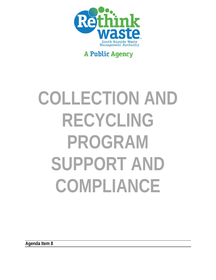

## **A Public Agency**

# **COLLECTION AND RECYCLING PROGRAM SUPPORT AND COMPLIANCE**

**Agenda Item 8**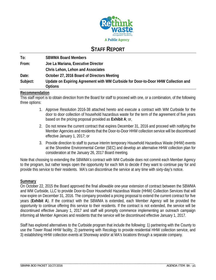

### **STAFF REPORT**

| To:      | <b>SBWMA Board Members</b>                                                                          |
|----------|-----------------------------------------------------------------------------------------------------|
| From:    | Joe La Mariana, Executive Director                                                                  |
|          | Chris Lehon, Lehon and Associates                                                                   |
| Date:    | October 27, 2016 Board of Directors Meeting                                                         |
| Subject: | Update on Expiring Agreement with WM Curbside for Door-to-Door HHW Collection and<br><b>Options</b> |

#### **Recommendation**

This staff report is to obtain direction from the Board for staff to proceed with one, or a combination, of the following three options:

- 1. Approve Resolution 2016-38 attached hereto and execute a contract with WM Curbside for the door to door collection of household hazardous waste for the term of the agreement of five years based on the pricing proposal provided as **Exhibit A**; or,
- 2. Do not renew the current contract that expires December 31, 2016 and proceed with notifying the Member Agencies and residents that the Door-to-Door HHW collection service will be discontinued effective January 1, 2017; or
- 3. Provide direction to staff to pursue interim temporary Household Hazardous Waste (HHW) events at the Shoreline Environmental Center (SEC) and develop an alternative HHW collection plan for consideration at the January 26, 2017 Board meeting.

Note that choosing to extending the SBWMA's contract with WM Curbside does not commit each Member Agency to the program, but rather keeps open the opportunity for each MA to decide if they want to continue pay for and provide this service to their residents. MA's can discontinue the service at any time with sixty-day's notice.

#### **Summary**

On October 22, 2015 the Board approved the final allowable one-year extension of contract between the SBWMA and WM Curbside, LLC to provide Door-to-Door Household Hazardous Waste (HHW) Collection Services that will now expire on December 31, 2016. The company provided a pricing proposal to extend the current contract for five years (**Exhibit A**). If the contract with the SBWMA is extended, each Member Agency will be provided the opportunity to continue offering this service to their residents. If the contract is not extended, the service will be discontinued effective January 1, 2017 and staff will promptly commence implementing an outreach campaign informing all Member Agencies and residents that the service will be discontinued effective January 1, 2017.

Staff has explored alternatives to the Curbside program that include the following: 1) partnering with the County to use the Tower Road HHW facility, 2) partnering with Recology to provide residential HHW collection service, and 3) establishing HHW collection events at Shoreway and/or at MA's locations through a separate company.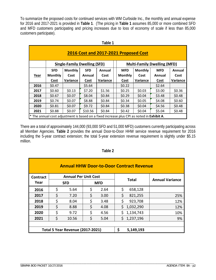To summarize the proposed costs for continued services with WM Curbside Inc., the monthly and annual expense for 2016 and 2017-2021 is provided in **Table 1**. (The pricing in **Table 1** assumes 85,000 or more combined SFD and MFD customers participating and pricing increases due to loss of economy of scale if less than 85,000 customers participate).

|      | Table 1                               |                                     |            |          |  |                |                                                                                           |                                    |          |
|------|---------------------------------------|-------------------------------------|------------|----------|--|----------------|-------------------------------------------------------------------------------------------|------------------------------------|----------|
|      | 2016 Cost and 2017-2021 Proposed Cost |                                     |            |          |  |                |                                                                                           |                                    |          |
|      |                                       | <b>Single-Family Dwelling (SFD)</b> |            |          |  |                |                                                                                           | <b>Multi-Family Dwelling (MFD)</b> |          |
|      | <b>SFD</b>                            | <b>Monthly</b>                      | <b>SFD</b> | Annual   |  | <b>MFD</b>     | <b>Monthly</b>                                                                            | <b>MFD</b>                         | Annual   |
| Year | <b>Monthly</b>                        | Cost                                | Annual     | Cost     |  | <b>Monthly</b> | Cost                                                                                      | Annual                             | Cost     |
|      | Cost                                  | Variance                            | Cost       | Variance |  | Cost           | Variance                                                                                  | <b>Cost</b>                        | Variance |
| 2016 | \$0.47                                |                                     | \$5.64     |          |  | \$0.22         |                                                                                           | \$2.64                             |          |
| 2017 | \$0.60                                | \$0.13                              | \$7.20     | \$1.56   |  | \$0.25         | \$0.03                                                                                    | \$3.00                             | \$0.36   |
| 2018 | \$0.67                                | \$0.07                              | \$8.04     | \$0.84   |  | \$0.29         | \$0.04                                                                                    | \$3.48                             | \$0.48   |
| 2019 | \$0.74                                | \$0.07                              | \$8.88     | \$0.84   |  | \$0.34         | \$0.05                                                                                    | \$4.08                             | \$0.60   |
| 2020 | \$0.81                                | \$0.07                              | \$9.72     | \$0.84   |  | \$0.38         | \$0.04                                                                                    | \$4.56                             | \$0.48   |
| 2021 | \$0.88                                | \$0.07                              | \$10.56    | \$0.84   |  | \$0.42         | \$0.04                                                                                    | \$5.04                             | \$0.48   |
|      |                                       |                                     |            |          |  |                | * The annual cost adjustment is based on a fixed increase plus CPI as noted in Exhibit A. |                                    |          |

There are a total of approximately 144,000 (93,000 SFD and 51,000 MFD) customers currently participating across all Member Agencies. **Table 2** provides the annual Door-to-Door HHW service revenue requirement for 2016 including the 5-year contract extension; the total 5-year extension revenue requirement is slightly under \$5.15 million.

| <b>Annual HHW Door-to-Door Contract Revenue</b> |    |                                         |            |      |    |              |                        |
|-------------------------------------------------|----|-----------------------------------------|------------|------|----|--------------|------------------------|
| Contract                                        |    | <b>Annual Per Unit Cost</b>             |            |      |    |              |                        |
| Year                                            |    | <b>SFD</b>                              | <b>MFD</b> |      |    | <b>Total</b> | <b>Annual Variance</b> |
| 2016                                            | \$ | 5.64                                    | \$         | 2.64 | \$ | 658,128      |                        |
| 2017                                            | \$ | 7.20                                    | \$         | 3.00 | \$ | 821,255      | 25%                    |
| 2018                                            | \$ | 8.04                                    | \$         | 3.48 | \$ | 923,708      | 12%                    |
| 2019                                            | \$ | 8.88                                    | \$         | 4.08 | \$ | 1,032,290    | 12%                    |
| 2020                                            | \$ | 9.72                                    | \$         | 4.56 | Ś. | 1,134,743    | 10%                    |
| 2021                                            | \$ | 10.56                                   | \$         | 5.04 |    | \$1,237,196  | 9%                     |
|                                                 |    |                                         |            |      |    |              |                        |
|                                                 |    | <b>Total 5 Year Revenue (2017-2021)</b> |            |      | \$ | 5,149,193    |                        |

#### **Table 2**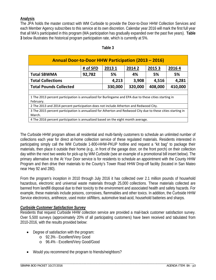#### **Analysis**

The JPA holds the master contract with WM Curbside to provide the Door-to-Door HHW Collection Services and each Member Agency subscribes to this service at its own discretion. Calendar year 2016 will mark the first full year that all MA's participated in this program (MA participation has gradually expanded over the past five years). **Table 3** below illustrates the historical program participation rate, which is currently at 5%.

| Annual Door-to-Door HHW Participation (2013 - 2016)                                                                    |                                               |         |         |         |    |  |  |  |
|------------------------------------------------------------------------------------------------------------------------|-----------------------------------------------|---------|---------|---------|----|--|--|--|
|                                                                                                                        | # of SFD<br>2013 1<br>20142<br>20153<br>20164 |         |         |         |    |  |  |  |
| <b>Total SBWMA</b>                                                                                                     | 92,782                                        | 5%      | 4%      | 5%      | 5% |  |  |  |
| <b>Total Collections</b>                                                                                               | 4,213                                         | 3,908   | 4,516   | 4,281   |    |  |  |  |
| <b>Total Pounds Collected</b>                                                                                          | 330,000                                       | 320,000 | 408,000 | 410,000 |    |  |  |  |
|                                                                                                                        |                                               |         |         |         |    |  |  |  |
| 1 The 2013 percent participation is annualized for Burlingame and EPA due to these cities starting in<br>February.     |                                               |         |         |         |    |  |  |  |
| 2 The 2013 and 2014 percent participation does not include Atherton and Redwood City.                                  |                                               |         |         |         |    |  |  |  |
| 3 The 2015 percent participation is annualized for Atherton and Redwood City due to these cities starting in<br>March. |                                               |         |         |         |    |  |  |  |
| 4 The 2016 percent participation is annualized based on the eight month average.                                       |                                               |         |         |         |    |  |  |  |

#### **Table 3**

The Curbside HHW program allows all residential and multi-family customers to schedule an unlimited number of collections each year for direct at-home collection service of these regulated materials. Residents interested in participating simply call the WM Curbside 1-800-HHW-PKUP hotline and request a "kit bag" to package their materials, then place it outside their home (e.g., in front of the garage door, on the front porch) on their collection day within the next two weeks for pick-up by WM Curbside (see an example of a promotional bill insert below). The primary alternative to the At Your Door service is for residents to schedule an appointment with the County HHW Program and then drive their materials to the County's Tower Road HHW Drop-off facility (located in San Mateo near Hwy 92 and 280).

From the program's inception in 2010 through July 2016 it has collected over 2.1 million pounds of household hazardous, electronic and universal waste materials through 25,000 collections. These materials collected are banned from landfill disposal due to their toxicity to the environment and associated health and safety hazards. For example, these materials include poisons, corrosives, flammables and other toxics. In addition, the Curbside HHW Service electronics, antifreeze, used motor oil/filters, automotive lead-acid, household batteries and sharps.

#### *Curbside Customer Satisfaction Survey*

Residents that request Curbside HHW collection service are provided a mail-back customer satisfaction survey. Over 5,500 surveys (approximately 20% of all participating customers) have been received and tabulated from 2010-2016, with the results provided below:

- Degree of satisfaction with the program:
	- o 92.3% Excellent/Very Good
	- o 96.4% Excellent/Very Good/Good
- Would you recommend the program to friends/neighbors?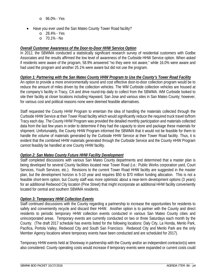- o 96.0% Yes
- Have you ever used the San Mateo County Tower Road facility?
	- o 28.4% Yes
	- o 70.1% No

#### *Overall Customer Awareness of the Door-to-Door HHW Service Option*

In 2012, the SBWMA conducted a statistically significant research survey of residential customers with Godbe Associates and the results affirmed the low level of awareness of the Curbside HHW Service option. When asked if residents were aware of the program, 58.9% answered "no they were not aware," while 16.0% were aware and had used the program and another 25.1% were aware but did not use the program.

#### *Option 1: Partnering with the San Mateo County HHW Program to Use the County's Tower Road Facility*

An option to provide a more environmentally sound and cost effective door-to-door collection program would be to reduce the amount of miles driven by the collection vehicles. The WM Curbside collection vehicles are housed at the company's facility in Tracy, CA and drive round-trip daily to collect from the SBWMA. WM Curbside looked to site their facility at closer locations including Hayward, San Jose and various sites in San Mateo County; however, for various cost and political reasons none were deemed feasible alternatives.

Staff requested the County HHW Program to entertain the idea of handling the materials collected through the Curbside HHW Service at their Tower Road facility which would significantly reduce the required truck travel to/from Tracy each day. The County HHW Program was provided the detailed monthly participation and materials collected data from the last few years in order to determine if they had the capacity to store and package these materials for shipment. Unfortunately, the County HHW Program informed the SBWMA that it would not be feasible for them to handle the volume of materials generated by the Curbside HHW Service at their Tower Road facility. Thus, it is evident that the combined HHW materials generated through the Curbside Service and the County HHW Program cannot feasibly be handled at one County HHW facility.

#### *Option 2: San Mateo County Future HHW Facility Development*

Staff completed discussions with various San Mateo County departments and determined that a master plan is being developed for several County facilities located near Tower Road (i.e.: Public Works corporation yard, Court Services, Youth Services, etc.). Revisions to the current Tower Road HHW facility are suggested in the master plan, but the development horizon is 5-10 year and requires \$50 to \$70 million funding allocation. This is not a feasible short-term option, but County staff was more optimistic about a near-term development options (3 years) for an additional Redwood City location (Pine Street) that might incorporate an additional HHW facility conveniently located for central and southern SBWMA residents.

#### *Option 3: Temporary HHW Collection Events*

Staff continued discussions with the County regarding a partnership to increase the opportunities for residents to safely and conveniently recycle and discard their HHW. Another option is to partner with the County and direct residents to periodic temporary HHW collection events conducted in various San Mateo County cities and unincorporated areas. Temporary events are currently conducted on two or three Saturdays each month by the County. (The draft 2017 schedule has events listed for the following locations: Daly City, La Honda, Menlo Park, Pacifica, Portola Valley, Redwood City and South San Francisco. Redwood City and Menlo Park are the only Member Agency locations where temporary events have been conducted and are scheduled for 2017).

Temporary HHW events held at Shoreway in partnership with the County and/or an independent contractor(s) were also considered. County operating costs would increase if temporary events were expanded or current costs could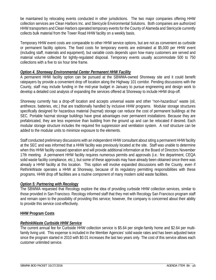be maintained by relocating events conducted in other jurisdictions. The two major companies offering HHW collection services are Clean Harbors Inc. and Stericycle Environmental Solutions. Both companies are authorized HHW transporters and Clean Harbors operated temporary events for the County of Alameda and Stericycle currently collects bulk material from the Tower Road HHW facility on a weekly basis.

Temporary HHW event costs are comparable to other HHW service options, but are not as convenient as curbside or permanent facility options. The fixed costs for temporary events are estimated at \$5,000 per HHW event (including staff, materials and equipment), but variable costs depends upon how many customers are served and material volume collected for tightly-regulated disposal. Temporary events usually accommodate 500 to 750 collections with a five to six hour time frame.

#### *Option 4. Shoreway Environmental Center Permanent HHW Facility*

A permanent HHW facility option can be pursued at the SBWMA-owned Shoreway site and it could benefit ratepayers by provide a convenient drop off location along the Highway 101 corridor. Pending discussions with the County, staff may include funding in the mid-year budget in January to pursue engineering and design work to develop a detailed cost analysis of expanding the services offered at Shoreway to include HHW drop-off.

Shoreway currently has a drop-off location and accepts universal waste and other "non-hazardous" waste (oil, antifreeze, batteries, etc.) that are traditionally handled by inclusive HHW programs. Modular storage structures specifically designed for hazardous material (hazmat) storage can reduce the cost of permanent buildings at the SEC. Portable hazmat storage buildings have great advantages over permanent installations. Because they are prefabricated, they are less expensive than building from the ground up and can be relocated if desired. Each modular storage structure includes the required fire suppression and ventilation system. A roof structure can be added to the modular units to minimize exposure to the elements.

Staff conducted preliminary discussions with an independent HHW consultant about siting a permanent HHW facility at the SEC and was informed that a HHW facility was previously located at the site. Staff was unable to determine when this HHW facility ceased operation and will provide additional information at the Board of Directors November 17th meeting. A permanent HHW facility requires numerous permits and approvals (i.e.: fire department, CEQA solid waste facility compliance, etc.), but some of these approvals may have already been obtained since there was already a HHW facility at this location. This option will involve expanded discussions with the County, even if RethinkWaste operates a HHW at Shoreway, because of its regulatory permitting responsibilities with these programs. HHW drop off facilities are a routine component of many modern solid waste facilities.

#### *Option 5: Partnering with Recology*

The SBWMA requested that Recology explore the idea of providing curbside HHW collection services, similar to those provided in San Francisco. Recology informed staff that they met with Recology San Francisco program staff and remain open to the possibility of providing this service; however, the company is concerned about their ability to provide this service cost-effectively.

#### **HHW Program Costs**

#### *RethinkWaste Curbside HHW Service*

The current annual fee for Curbside HHW collection service is \$5.64 per single-family home and \$2.64 per multifamily living unit. This expense is included in the Member Agencies' solid waste rates and has been adjusted twice since the program started in 2010 with \$0.01 increases the last two years only. The cost of this service allows each customer unlimited service.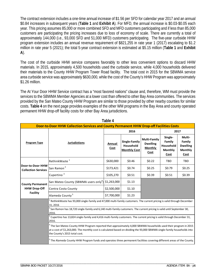The contract extension includes a one-time annual increase of \$1.56 per SFD for calendar year 2017 and an annual \$0.84 increases in subsequent years (**Table 1** and **Exhibit A**). For MFD, the annual increase is \$0.03-\$0.05 each year. This pricing assumes 85,000 or more combined SFD and MFD customers participating and if less than 85,000 customers are participating the pricing increases due to loss of economy of scale. There are currently a total of approximately 144,000 (i.e., 93,000 SFD and 51,000 MFD) customers participating. The five-year curbside HHW program extension includes an annual revenue requirement of \$821,255 in rate year 1 (2017) escalating to \$1.2 million in rate year 5 (2021); the total 5-year contract extension is estimated at \$5.15 million (**Table 1** and **Exhibit A**).

The cost of the curbside HHW service compares favorably to other less convenient options to discard HHW materials. In 2015, approximately 4,500 households used the curbside service, while 4,000 households delivered their materials to the County HHW Program Tower Road facility. The total cost in 2015 for the SBWMA service area curbside service was approximately \$630,000, while the cost of the County's HHW Program was approximately \$1.26 million.

The At Your Door HHW Service contract has a "most favored nations" clause and, therefore, WM must provide the services to the SBWMA Member Agencies at a lower cost than offered to other Bay Area communities. The services provided by the San Mateo County HHW Program are similar to those provided by other nearby counties for similar costs. **Table 4** on the next page provides examples of the other WM programs in the Bay Area and county operated permanent HHW drop-off facility costs for other Bay Area jurisdictions.

| Door-to-Door HHW Collection Services and County Permanent HHW Drop-off Facilities Costs |                                                                                                                                                                                                                                                                                   |                |                                                   |                                                                  |                                                          |                                                               |  |  |  |  |
|-----------------------------------------------------------------------------------------|-----------------------------------------------------------------------------------------------------------------------------------------------------------------------------------------------------------------------------------------------------------------------------------|----------------|---------------------------------------------------|------------------------------------------------------------------|----------------------------------------------------------|---------------------------------------------------------------|--|--|--|--|
|                                                                                         |                                                                                                                                                                                                                                                                                   |                | 2016                                              |                                                                  | 2017                                                     |                                                               |  |  |  |  |
| Program Type                                                                            | <b>Jurisdictions</b>                                                                                                                                                                                                                                                              | Annual<br>Cost | Single-Family<br>Household<br><b>Monthly Cost</b> | <b>Multi-Family</b><br><b>Dwelling</b><br><b>Monthly</b><br>Cost | Single-<br>Family<br>Household<br><b>Monthly</b><br>Cost | Multi-<br>Family<br><b>Dwelling</b><br><b>Monthly</b><br>Cost |  |  |  |  |
|                                                                                         | RethinkWaste <sup>1</sup>                                                                                                                                                                                                                                                         | \$630,000      | \$0.46                                            | \$0.22                                                           | <b>TBD</b>                                               | <b>TBD</b>                                                    |  |  |  |  |
| Door-to-Door HHW<br><b>Collection Services</b>                                          | San Ramon <sup>2</sup><br>\$173,421<br>\$0.74<br>\$0.25<br>\$0.79<br>\$0.25                                                                                                                                                                                                       |                |                                                   |                                                                  |                                                          |                                                               |  |  |  |  |
|                                                                                         | Cupertino <sup>3</sup><br>\$105,270<br>\$0.51<br>\$0.39<br>\$0.51<br>\$0.39                                                                                                                                                                                                       |                |                                                   |                                                                  |                                                          |                                                               |  |  |  |  |
| <b>County Permanent</b>                                                                 | San Mateo County (SBWMA users only <sup>4</sup> ) \$1,263,000<br>\$1.13                                                                                                                                                                                                           |                |                                                   |                                                                  |                                                          |                                                               |  |  |  |  |
| <b>HHW Drop-Off</b>                                                                     | \$2,500,000<br>Contra Costa County<br>\$1.10                                                                                                                                                                                                                                      |                |                                                   |                                                                  |                                                          |                                                               |  |  |  |  |
| <b>Facility</b>                                                                         | Alameda County <sup>5</sup><br>\$7,700,000<br>\$1.23                                                                                                                                                                                                                              |                |                                                   |                                                                  |                                                          |                                                               |  |  |  |  |
|                                                                                         | RethinkWaste has 93,000 single-family and 47,000 multi-family customers. The current pricing is valid through December<br>31, 2016                                                                                                                                                |                |                                                   |                                                                  |                                                          |                                                               |  |  |  |  |
|                                                                                         | <sup>2</sup> San Ramon has 18,720 single-family and 6,140 multi-family customers. The current pricing is valid until September 30,<br>2016.                                                                                                                                       |                |                                                   |                                                                  |                                                          |                                                               |  |  |  |  |
|                                                                                         | Cupertino has 13,824 single-family and 4,416 multi-family customers. The current pricing is valid through December 31,<br>2016.                                                                                                                                                   |                |                                                   |                                                                  |                                                          |                                                               |  |  |  |  |
|                                                                                         | $^4$ The San Mateo County HHW Program reported that approximately 4,000 SBWMA households used their program in 2015<br>at a cost of \$1,263,000. The monthly cost is calculated based on dividing the 93,000 SBWMA single-family households into<br>the County's 2015 total cost. |                |                                                   |                                                                  |                                                          |                                                               |  |  |  |  |
|                                                                                         | <sup>5</sup> The Alameda County HHW Program funds and operates three permanent facilities covering different areas of the County.                                                                                                                                                 |                |                                                   |                                                                  |                                                          |                                                               |  |  |  |  |

**Table 4**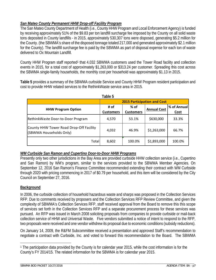#### *San Mateo County Permanent HHW Drop-off Facility Program*

The San Mateo County Department of Health (i.e., County HHW Program and Local Enforcement Agency) is funded by receiving approximately 51% of the \$9.83 per ton landfill surcharge fee imposed by the County on all solid waste tons deposited in County landfills - in 2015, approximately 530,307 tons were disposed, generating \$5.2 million for the County. (the SBWMA's share of the disposed tonnage totaled 217,000 and generated approximately \$2.1 million for the County). The landfill surcharge fee is paid by the SBWMA as part of disposal expense for each ton of waste delivered to Ox Mountain Landfill.

County HHW Program staff reported<sup>1</sup> that 4,032 SBWMA customers used the Tower Road facility and collection events in 2015, for a total cost of approximately \$1,263,000 or \$313.24 per customer. Spreading this cost across the SBWMA single-family households, the monthly cost per household was approximately \$1.13 in 2015.

**Table 5** provides a summary of the SBWMA curbside Service and County HHW Program resident participation and cost to provide HHW related services to the RethinkWaste service area in 2015.

**Table 5** 

|                                                                    | apie 5                   |                          |                    |                            |
|--------------------------------------------------------------------|--------------------------|--------------------------|--------------------|----------------------------|
| <b>2015 Participation and Cost</b>                                 |                          |                          |                    |                            |
| <b>HHW Program Option</b>                                          | # of<br><b>Customers</b> | % of<br><b>Customers</b> | <b>Annual Cost</b> | % of Annual<br><b>Cost</b> |
| RethinkWaste Door-to-Door Program                                  | 4.570                    | 53.1%                    | \$630,000          | 33.3%                      |
| County HHW Tower Road Drop-Off Facility<br>(SBWMA Households Only) | 4,032                    | 46.9%                    | \$1,263,000        | 66.7%                      |
| Totall                                                             | 8,602                    | 100.0%                   | \$1,893,000        | 100.0%                     |

|  |  | WM Curbside San Ramon and Cupertino Door-to-Door HHW Programs |
|--|--|---------------------------------------------------------------|
|--|--|---------------------------------------------------------------|

Presently only two other jurisdictions in the Bay Area are provided curbside HHW collection service (i.e., Cupertino and San Ramon) by WM's program, similar to the services provided to the SBWMA Member Agencies. On September 12, 2016 San Ramon's Finance Committee recommended extending their contract with WM Curbside through 2020 with pricing commencing in 2017 of \$0.79 per household, and this item will be considered by the City Council on September 27, 2016.

#### **Background**

l

In 2006, the curbside collection of household hazardous waste and sharps was proposed in the Collection Services RFP. Due to comments received by proposers and the Collection Services RFP Review Committee, and given the complexity of SBWMA's Collection Services RFP, staff received approval from the Board to remove this this scope of services set forth in the Collection Services RFP and a separate procurement process for these services was pursued. An RFP was issued in March 2008 soliciting proposals from companies to provide curbside or mail-back collection service of HHW and Universal Waste. Five vendors submitted a notice of intent to respond to the RFP, two proposals were received and one vendor withdrew its proposal due to economic conditions (subsidy reductions).

On January 14, 2009, the R&FM Subcommittee received a presentation and approved Staff's recommendation to negotiate a contract with Curbside, Inc. and voted to forward this recommendation to the Board. The SBWMA

<sup>1</sup> The participation data provided by the County is for calendar year 2015, while the cost information is for the County's FY 2014/15. The related information for the SBWMA is for calendar year 2015.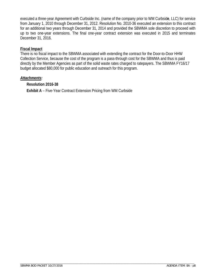executed a three-year Agreement with Curbside Inc. (name of the company prior to WM Curbsid**e**, LLC) for service from January 1, 2010 through December 31, 2012. Resolution No. 2010-36 executed an extension to this contract for an additional two years through December 31, 2014 and provided the SBWMA sole discretion to proceed with up to two one-year extensions. The final one-year contract extension was executed in 2015 and terminates December 31, 2016.

#### **Fiscal Impact**

There is no fiscal impact to the SBWMA associated with extending the contract for the Door-to-Door HHW Collection Service, because the cost of the program is a pass-through cost for the SBWMA and thus is paid directly by the Member Agencies as part of the solid waste rates charged to ratepayers. The SBWMA FY16/17 budget allocated \$80,000 for public education and outreach for this program.

\_\_\_\_\_\_\_\_\_\_\_\_\_\_\_\_\_\_\_\_\_\_\_\_\_\_\_\_\_\_\_\_\_\_\_\_\_\_\_\_\_\_\_\_\_\_\_\_\_\_\_\_\_\_\_\_\_\_\_\_\_\_\_\_\_\_\_\_\_\_\_\_\_\_\_\_\_\_\_\_\_\_\_\_\_\_\_\_\_\_\_\_\_\_\_\_\_\_\_\_\_\_\_\_\_\_\_\_\_\_\_\_\_

#### *Attachments:*

#### **Resolution 2016-38**

**Exhibit A** – Five-Year Contract Extension Pricing from WM Curbside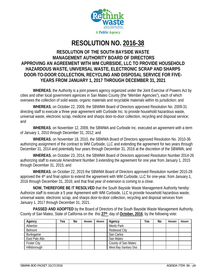

## **RESOLUTION NO. 2016-38**

#### **RESOLUTION OF THE SOUTH BAYSIDE WASTE MANAGEMENT AUTHORITY BOARD OF DIRECTORS APPROVING AN AGREEMENT WITH WM CURBSIDE, LLC TO PROVIDE HOUSEHOLD HAZARDOUS WASTE, UNIVERSAL WASTE, ELECTRONIC SCRAP AND SHARPS DOOR-TO-DOOR COLLECTION, RECYCLING AND DISPOSAL SERVICE FOR FIVE-YEARS FROM JANUARY 1, 2017 THROUGH DECEMBER 31, 2021**

**WHEREAS**, the Authority is a joint powers agency organized under the Joint Exercise of Powers Act by cities and other local government agencies in San Mateo County (the "Member Agencies"), each of which oversees the collection of solid waste, organic materials and recyclable materials within its jurisdiction; and

**WHEREAS**, on October 22, 2009, the SBWMA Board of Directors approved Resolution No. 2009-31 directing staff to execute a three year agreement with Curbside Inc. to provide household hazardous waste, universal waste, electronic scrap, medicine and sharps door-to-door collection, recycling and disposal service; and

**WHEREAS**, on November 12, 2009, the SBWMA and Curbside Inc. executed an agreement with a term of January 1, 2010 through December 31, 2012; and

**WHEREAS**, on November 18, 2010, the SBWMA Board of Directors approved Resolution No. 2010-36 authorizing assignment of the contract to WM Curbside, LLC and extending the agreement for two years through December 31, 2014 and potentially four years through December 31, 2016 at the discretion of the SBWMA; and

**WHEREAS**, on October 23, 2014, the SBWMA Board of Directors approved Resolution Number 2014-26 authorizing staff to execute Amendment Number 3 extending the agreement for one year from January 1, 2015 through December 31, 2015; and

**WHEREAS**, on October 22, 2015 the SBWMA Board of Directors approved Resolution number 2015-28 approved the 4<sup>th</sup> and final option to extend the agreement with WM Curbside, LLC for one-year, from January 1, 2016 through December 31, 2016; and that final year of extension is coming to a close.

**NOW, THEREFORE BE IT RESOLVED** that the South Bayside Waste Management Authority hereby: Authorize staff to execute a 5 year Agreement with WM Curbside, LLC to provide household hazardous waste, universal waste, electronic scrap, and sharps door-to-door collection, recycling and disposal services from January 1, 2017 through December 31, 2021.

**PASSED AND ADOPTED** by the Board of Directors of the South Bayside Waste Management Authority, County of San Mateo, State of California on the this **27th** day of **October, 2016**, by the following vote:

| Agency             | Yes | No | Abstain | Absent | Agency                  | Yes | No | Abstain | Absent |
|--------------------|-----|----|---------|--------|-------------------------|-----|----|---------|--------|
| Atherton           |     |    |         |        | Menlo Park              |     |    |         |        |
| Belmont            |     |    |         |        | Redwood City            |     |    |         |        |
| Burlingame         |     |    |         |        | San Carlos              |     |    |         |        |
| East Palo Alto     |     |    |         |        | San Mateo               |     |    |         |        |
| <b>Foster City</b> |     |    |         |        | County of San Mateo     |     |    |         |        |
| Hillsborough       |     |    |         |        | West Bay Sanitary Dist. |     |    |         |        |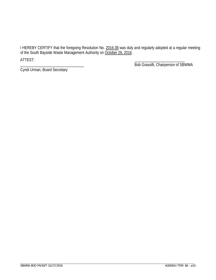I HEREBY CERTIFY that the foregoing Resolution No. 2016-38 was duly and regularly adopted at a regular meeting of the South Bayside Waste Management Authority on October 26, 2016.

\_\_\_\_\_\_\_\_\_\_\_\_\_\_\_\_\_\_\_\_\_\_\_\_\_\_\_\_\_\_\_\_\_\_\_\_\_\_\_\_\_\_\_\_\_\_\_\_\_\_\_\_\_\_\_\_\_\_\_\_\_\_\_\_\_\_\_\_\_\_\_\_\_\_\_\_\_\_\_\_\_\_\_\_\_\_\_\_\_\_\_\_\_\_\_\_\_\_\_\_\_\_\_\_\_\_\_\_\_\_\_\_\_

ATTEST: \_\_\_\_\_\_\_\_\_\_\_\_\_\_\_\_\_\_\_\_\_\_\_\_\_\_

Cyndi Urman, Board Secretary

\_\_\_\_\_\_\_\_\_\_\_\_\_\_\_\_\_\_\_\_\_\_\_\_\_\_\_\_\_\_\_\_\_ Bob Grassilli, Chairperson of SBWMA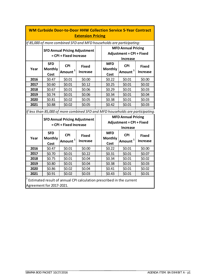| <b>WM Curbside Door-to-Door HHW Collection Service 5-Year Contract</b> |                                                                   |                        |                                                                                |  |                              |                                 |                 |  |
|------------------------------------------------------------------------|-------------------------------------------------------------------|------------------------|--------------------------------------------------------------------------------|--|------------------------------|---------------------------------|-----------------|--|
|                                                                        | <b>Extension Pricing</b>                                          |                        |                                                                                |  |                              |                                 |                 |  |
|                                                                        |                                                                   |                        | lf 85,000 of more combined SFD and MFD households are participating:           |  |                              |                                 |                 |  |
|                                                                        | <b>MFD Annual Pricing</b><br><b>SFD Annual Pricing Adjustment</b> |                        |                                                                                |  |                              |                                 |                 |  |
|                                                                        |                                                                   | = CPI + Fixed Increase |                                                                                |  |                              | <b>Adjustment = CPI + Fixed</b> |                 |  |
|                                                                        |                                                                   |                        |                                                                                |  |                              | <b>Increase</b>                 |                 |  |
|                                                                        | <b>SFD</b>                                                        | <b>CPI</b>             | <b>Fixed</b>                                                                   |  | <b>MFD</b><br><b>Monthly</b> | <b>CPI</b>                      | <b>Fixed</b>    |  |
| Year                                                                   | <b>Monthly</b>                                                    | Amount <sup>1</sup>    | <b>Increase</b>                                                                |  |                              | <b>Amount</b>                   | <b>Increase</b> |  |
|                                                                        | Cost                                                              |                        |                                                                                |  | Cost                         |                                 |                 |  |
| 2016                                                                   | \$0.47                                                            | \$0.01                 | \$0.00                                                                         |  | \$0.22                       | \$0.01                          | \$0.00          |  |
| 2017                                                                   | \$0.60                                                            | \$0.01                 | \$0.12                                                                         |  | \$0.25                       | \$0.01                          | \$0.02          |  |
| 2018                                                                   | \$0.67                                                            | \$0.01                 | \$0.06                                                                         |  | \$0.29                       | \$0.01                          | \$0.03          |  |
| 2019                                                                   | \$0.74                                                            | \$0.01                 | \$0.06                                                                         |  | \$0.34                       | \$0.01                          | \$0.04          |  |
| 2020                                                                   | \$0.81                                                            | \$0.02                 | \$0.05                                                                         |  | \$0.38                       | \$0.01                          | \$0.03          |  |
| 2021                                                                   | \$0.88                                                            | \$0.02                 | \$0.05                                                                         |  | \$0.42                       | \$0.01                          | \$0.03          |  |
|                                                                        |                                                                   |                        | If less than 85,000 of more combined SFD and MFD households are participating. |  |                              |                                 |                 |  |
|                                                                        |                                                                   |                        | <b>SFD Annual Pricing Adjustment</b>                                           |  |                              | <b>MFD Annual Pricing</b>       |                 |  |
|                                                                        |                                                                   | = CPI + Fixed Increase |                                                                                |  |                              | <b>Adjustment = CPI + Fixed</b> |                 |  |
|                                                                        |                                                                   |                        |                                                                                |  |                              | <b>Increase</b>                 |                 |  |
|                                                                        | <b>SFD</b>                                                        | <b>CPI</b>             | <b>Fixed</b>                                                                   |  | <b>MFD</b>                   | <b>CPI</b>                      | <b>Fixed</b>    |  |
| Year                                                                   | <b>Monthly</b>                                                    |                        |                                                                                |  | <b>Monthly</b>               |                                 |                 |  |
|                                                                        | Cost                                                              | <b>Amount</b>          | <b>Increase</b>                                                                |  | Cost                         | <b>Amount</b>                   | <b>Increase</b> |  |
| 2016                                                                   | \$0.47                                                            | \$0.01                 | \$0.00                                                                         |  | \$0.22                       | \$0.01                          | \$0.00          |  |
| 2017                                                                   | \$0.70                                                            | \$0.01                 | \$0.22                                                                         |  | \$0.31                       | \$0.01                          | \$0.07          |  |
| 2018                                                                   | \$0.75                                                            | \$0.01                 | \$0.04                                                                         |  | \$0.34                       | \$0.01                          | \$0.02          |  |
| 2019                                                                   | \$0.80                                                            | \$0.01                 | \$0.04                                                                         |  | \$0.38                       | \$0.01                          | \$0.03          |  |
| 2020                                                                   | \$0.86                                                            | \$0.02                 | \$0.04                                                                         |  | \$0.41                       | \$0.01                          | \$0.02          |  |
| 2021                                                                   |                                                                   | \$0.02                 | \$0.03                                                                         |  | \$0.43                       | \$0.01                          | \$0.01          |  |
| Estimated result of annual CPI calculation prescribed in the current   |                                                                   |                        |                                                                                |  |                              |                                 |                 |  |
|                                                                        | \$0.91                                                            |                        |                                                                                |  |                              |                                 |                 |  |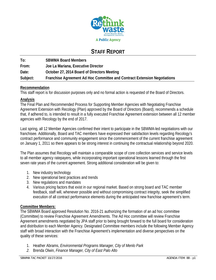

## **STAFF REPORT**

| To:      | <b>SBWMA Board Members</b>                                               |
|----------|--------------------------------------------------------------------------|
| From:    | Joe La Mariana, Executive Director                                       |
| Date:    | October 27, 2014 Board of Directors Meeting                              |
| Subject: | Franchise Agreement Ad Hoc Committee and Contract Extension Negotiations |

#### **Recommendation**

This staff report is for discussion purposes only and no formal action is requested of the Board of Directors.

#### **Analysis**

The Final Plan and Recommended Process for Supporting Member Agencies with Negotiating Franchise Agreement Extension with Recology (Plan) approved by the Board of Directors (Board), recommends a schedule that, if adhered to, is intended to result in a fully executed Franchise Agreement extension between all 12 member agencies with Recology by the end of 2017.

Last spring, all 12 Member Agencies confirmed their intent to participate in the SBWMA-led negotiations with our franchisee. Additionally, Board and TAC members have expressed their satisfaction levels regarding Recology's contract performance and community engagement since the commencement of the current franchise agreement on January 1, 2011 so there appears to be strong interest in continuing the contractual relationship beyond 2020.

The Plan assumes that Recology will maintain a comparable scope of core collection services and service levels to all member agency ratepayers, while incorporating important operational lessons learned through the first seven rate years of the current agreement. Strong additional consideration will be given to:

- 1. New industry technology
- 2. New operational best practices and trends
- 3. New regulations and mandates
- 4. Various pricing factors that exist in our regional market. Based on strong board and TAC member feedback, staff will, whenever possible and without compromising contract integrity, seek the simplified execution of all contract performance elements during the anticipated new franchise agreement's term.

#### **Committee Members:**

The SBWMA Board approved Resolution No. 2016-21 authorizing the formation of an ad hoc committee (Committee) to review Franchise Agreement Amendments. The Ad Hoc committee will review Franchise Agreement amendments negotiated by JPA staff prior to being brought forward to the full board for consideration and distribution to each Member Agency. Designated Committee members include the following Member Agency staff with broad interaction with the Franchise Agreement's implementation and diverse perspectives on the quality of these services:

- 1. Heather Abrams, *Environmental Programs Manager, City of Menlo Park*
- *2.* Brenda Olwin, *Finance Manager, City of East Palo Alto*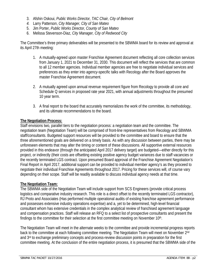- 3. Afshin Oskoui, *Public Works Director, TAC Chair, City of Belmont*
- *4.* Larry Patterson, *City Manager, City of San Mateo*
- 5. Jim Porter, *Public Works Director, County of San Mateo*
- 6. Melissa Stevenson-Diaz, *City Manager, City of Redwood City*

The Committee's three primary deliverables will be presented to the SBWMA board for its review and approval at its April 27th meeting:

- 1. A mutually-agreed upon master Franchise Agreement document reflecting all core collection services from January 1, 2021 to December 31, 2030. This document will reflect the services that are common to all 12 member agencies. Individual member agencies are free to negotiate individual services and preferences as they enter into agency-specific talks with Recology after the Board approves the master Franchise Agreement document.
- 2. A mutually agreed upon annual revenue requirement figure from Recology to provide all core and Schedule Q services in proposed rate year 2021, with annual adjustments throughout the presumed 10 year term.
- 3. A final report to the board that accurately memorializes the work of the committee, its methodology, and its ultimate recommendations to the board.

#### **The Negotiation Process:**

Staff envisions two, parallel tiers to the negotiation process: a negotiation team and the committee. The negotiation team (Negotiation Team) will be comprised of front-line representatives from Recology and SBWMA staff/consultants. Budgeted support resources will be provided to the committee and board to ensure that the three aforementioned goals are delivered on a timely basis. As with any discussion between parties, there may be unforeseen elements that may alter the timing or content of these discussions. All supportive external resources provided in this endeavor (through the anticipated April 2017 delivery target) are budgeted—either directly for this project, or indirectly (their costs are offsetting existing positive agency budget variances due to staff vacancies or the recently terminated LGS contract. Upon presumed Board approval of the Franchise Agreement Negotiation's Final Report in April 2017, additional support can be provided to individual member agency's as they proceed to negotiate their individual Franchise Agreements throughout 2017. Pricing for these services will, of course vary depending on their scope. Staff will be readily available to discuss individual agency needs at that time.

#### **The Negotiation Team:**

The SBWMA side of the Negotiation Team will include support from SCS Engineers (provide critical process logistics and comparative industry research. This role is a direct offset to the recently terminated LGS contractor), RJ Proto and Associates (Has performed multiple operational audits of existing franchise agreement performance and possesses extensive industry operations expertise) and a, yet to be determined, high-level financial consultant whom has extensive credentials in the complex analytical review of franchised agreement language and compensation practices. Staff will release an RFQ to a select list of prospective consultants and present the findings to the committee for their selection at the first committee meeting on November 10<sup>th</sup>.

The Negotiation Team will meet in the alternate weeks to the committee and provide incremental progress reports back to the committee at each following committee meeting. The Negotiation Team will meet on November 2<sup>nd</sup> and 3<sup>rd</sup> to exchange preliminary concepts and process-review discussion points in preparation for the first committee meeting. At the conclusion of the entire negotiation process, it is presumed that the SBWMA side of the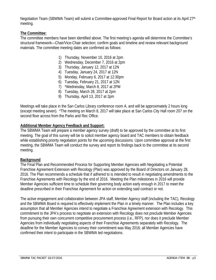Negotiation Team (SBWMA Team) will submit a Committee-approved Final Report for Board action at its April 27<sup>th</sup> meeting.

#### **The Committee:**

The committee members have been identified above. The first meeting's agenda will determine the Committee's structural framework—Chair/Vice-Chair selection; confirm goals and timeline and review relevant background materials. The committee meeting dates are confirmed as follows:

- 1) Thursday, November 10, 2016 at 2pm
- 2) Wednesday, December 7, 2016 at 2pm
- 3) Thursday, January 12, 2017 at 12N
- 4) Tuesday, January 24, 2017 at 12N
- 5) Monday, February 6, 2017 at 12:30pm
- 6) Tuesday, February 21, 2017 at 12N
- 7) \*Wednesday, March 8, 2017 at 2PM
- 8) Tuesday, March 28, 2017 at 2pm
- 9) Thursday, April 13, 2017 at 2pm

Meetings will take place in the San Carlos Library conference room A, and will be approximately 2 hours long (except meeting seven). \*The meeting on March 8, 2017 will take place at San Carlos City Hall room 207 on the second floor across from the Parks and Rec Office.

#### **Additional Member Agency Feedback and Support:**

The SBWMA Team will prepare a member agency survey (draft) to be approved by the committee at its first meeting. The goal of this survey will be to solicit member agency board and TAC members to obtain feedback while establishing priority negotiation points for the upcoming discussions. Upon committee approval at the first meeting, the SBWMA Team will conduct the survey and report its findings back to the committee at its second meeting.

#### **Background**

The Final Plan and Recommended Process for Supporting Member Agencies with Negotiating a Potential Franchise Agreement Extension with Recology (Plan) was approved by the Board of Directors on January 28, 2016. The Plan recommends a schedule that if adhered to is intended to result in negotiating amendments to the Franchise Agreements with Recology by the end of 2016. Meeting the Plan milestones in 2016 will provide Member Agencies sufficient time to schedule their governing body action early enough in 2017 to meet the deadline prescribed in their Franchise Agreement for action on extending said contract or not.

The active engagement and collaboration between JPA staff, Member Agency staff (including the TAC), Recology and the SBWMA Board is required to effectively implement the Plan in a timely manner. The Plan includes a key assumption that all Member Agencies intend to negotiate a Franchise Agreement extension with Recology. This commitment to the JPA's process to negotiate an extension with Recology does not preclude Member Agencies from pursuing their own concurrent competitive procurement process (i.e., RFP), nor does it preclude Member Agencies from individually negotiating aspects of their Franchise Agreements separately with Recology. The deadline for the Member Agencies to convey their commitment was May 2016; all Member Agencies have confirmed their intent to participate in the SBWMA led negotiations.